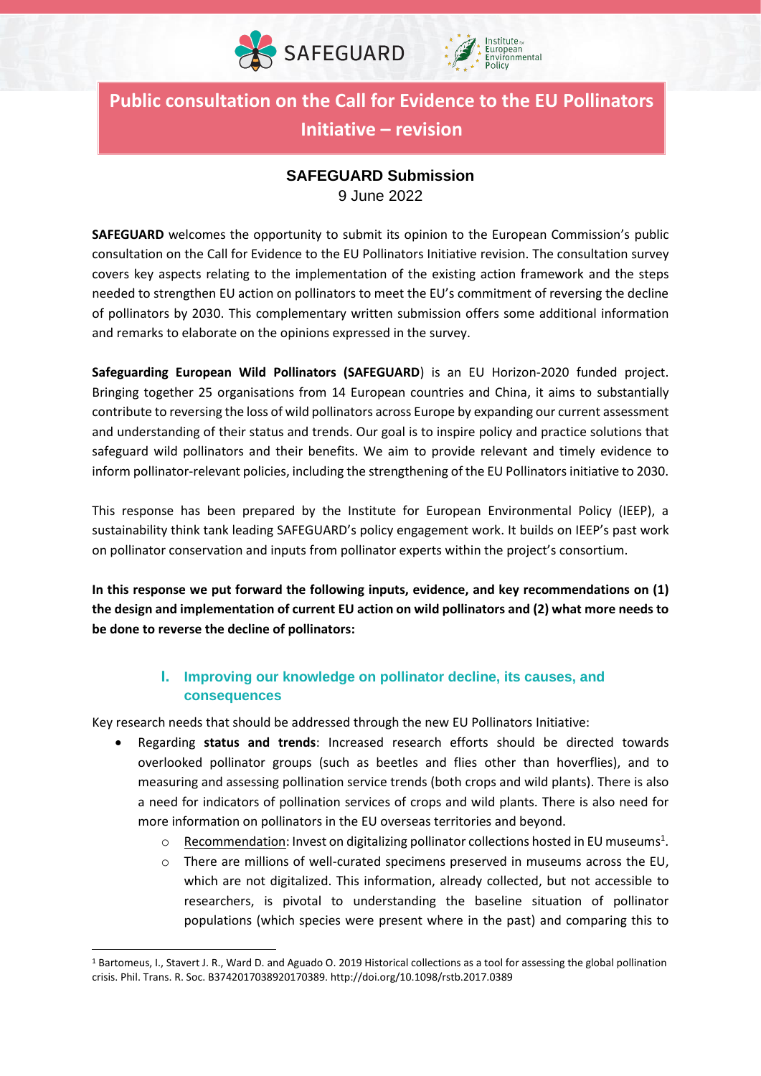



**Public consultation on the Call for Evidence to the EU Pollinators Initiative – revision**

# **SAFEGUARD Submission**

9 June 2022

**SAFEGUARD** welcomes the opportunity to submit its opinion to the European Commission's public consultation on the Call for Evidence to the EU Pollinators Initiative revision. The consultation survey covers key aspects relating to the implementation of the existing action framework and the steps needed to strengthen EU action on pollinators to meet the EU's commitment of reversing the decline of pollinators by 2030. This complementary written submission offers some additional information and remarks to elaborate on the opinions expressed in the survey.

**Safeguarding European Wild Pollinators (SAFEGUARD**) is an EU Horizon-2020 funded project. Bringing together 25 organisations from 14 European countries and China, it aims to substantially contribute to reversing the loss of wild pollinators across Europe by expanding our current assessment and understanding of their status and trends. Our goal is to inspire policy and practice solutions that safeguard wild pollinators and their benefits. We aim to provide relevant and timely evidence to inform pollinator-relevant policies, including the strengthening of the EU Pollinators initiative to 2030.

This response has been prepared by the Institute for European Environmental Policy (IEEP), a sustainability think tank leading SAFEGUARD's policy engagement work. It builds on IEEP's past work on pollinator conservation and inputs from pollinator experts within the project's consortium.

**In this response we put forward the following inputs, evidence, and key recommendations on (1) the design and implementation of current EU action on wild pollinators and (2) what more needs to be done to reverse the decline of pollinators:**

## **I. Improving our knowledge on pollinator decline, its causes, and consequences**

Key research needs that should be addressed through the new EU Pollinators Initiative:

- Regarding **status and trends**: Increased research efforts should be directed towards overlooked pollinator groups (such as beetles and flies other than hoverflies), and to measuring and assessing pollination service trends (both crops and wild plants). There is also a need for indicators of pollination services of crops and wild plants. There is also need for more information on pollinators in the EU overseas territories and beyond.
	- o Recommendation: Invest on digitalizing pollinator collections hosted in EU museums<sup>1</sup>.
	- $\circ$  There are millions of well-curated specimens preserved in museums across the EU, which are not digitalized. This information, already collected, but not accessible to researchers, is pivotal to understanding the baseline situation of pollinator populations (which species were present where in the past) and comparing this to

<sup>1</sup> Bartomeus, I., Stavert J. R., Ward D. and Aguado O. 2019 Historical collections as a tool for assessing the global pollination crisis. Phil. Trans. R. Soc. B3742017038920170389. http://doi.org/10.1098/rstb.2017.0389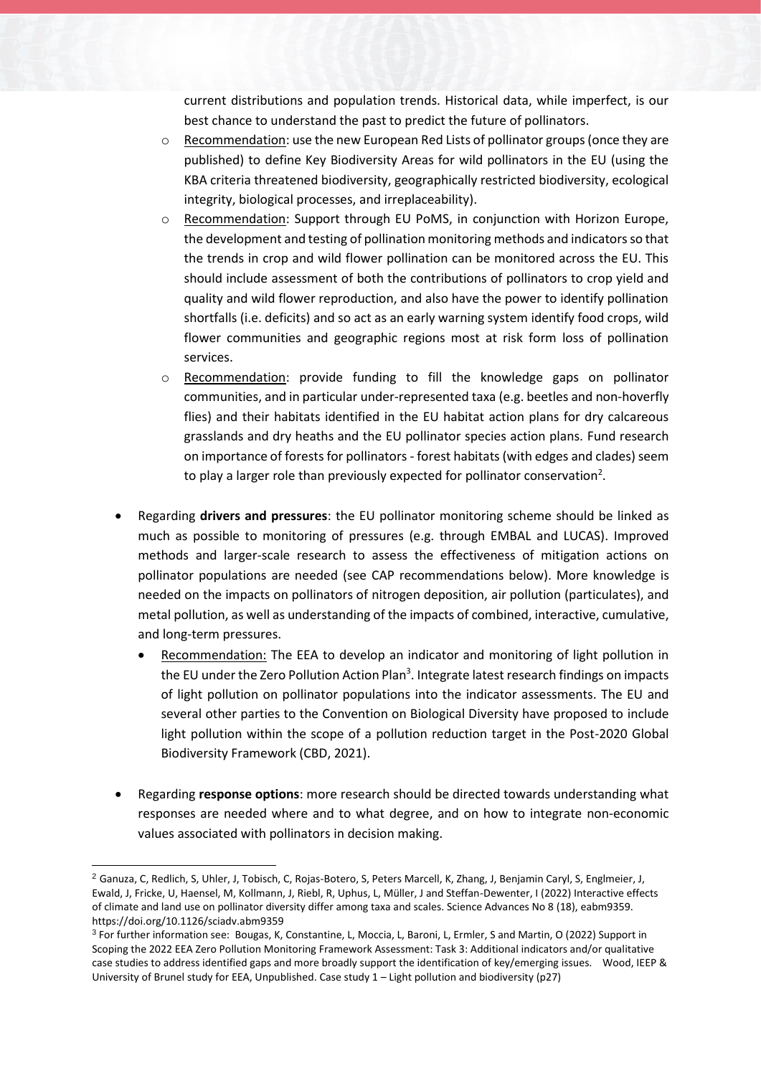current distributions and population trends. Historical data, while imperfect, is our best chance to understand the past to predict the future of pollinators.

- $\circ$  Recommendation: use the new European Red Lists of pollinator groups (once they are published) to define Key Biodiversity Areas for wild pollinators in the EU (using the KBA criteria threatened biodiversity, geographically restricted biodiversity, ecological integrity, biological processes, and irreplaceability).
- o Recommendation: Support through EU PoMS, in conjunction with Horizon Europe, the development and testing of pollination monitoring methods and indicators so that the trends in crop and wild flower pollination can be monitored across the EU. This should include assessment of both the contributions of pollinators to crop yield and quality and wild flower reproduction, and also have the power to identify pollination shortfalls (i.e. deficits) and so act as an early warning system identify food crops, wild flower communities and geographic regions most at risk form loss of pollination services.
- o Recommendation: provide funding to fill the knowledge gaps on pollinator communities, and in particular under-represented taxa (e.g. beetles and non-hoverfly flies) and their habitats identified in the EU habitat action plans for dry calcareous grasslands and dry heaths and the EU pollinator species action plans. Fund research on importance of forests for pollinators - forest habitats (with edges and clades) seem to play a larger role than previously expected for pollinator conservation<sup>2</sup>.
- Regarding **drivers and pressures**: the EU pollinator monitoring scheme should be linked as much as possible to monitoring of pressures (e.g. through EMBAL and LUCAS). Improved methods and larger-scale research to assess the effectiveness of mitigation actions on pollinator populations are needed (see CAP recommendations below). More knowledge is needed on the impacts on pollinators of nitrogen deposition, air pollution (particulates), and metal pollution, as well as understanding of the impacts of combined, interactive, cumulative, and long-term pressures.
	- Recommendation: The EEA to develop an indicator and monitoring of light pollution in the EU under the Zero Pollution Action Plan<sup>3</sup>. Integrate latest research findings on impacts of light pollution on pollinator populations into the indicator assessments. The EU and several other parties to the Convention on Biological Diversity have proposed to include light pollution within the scope of a pollution reduction target in the Post-2020 Global Biodiversity Framework (CBD, 2021).
- Regarding **response options**: more research should be directed towards understanding what responses are needed where and to what degree, and on how to integrate non-economic values associated with pollinators in decision making.

<sup>2</sup> Ganuza, C, Redlich, S, Uhler, J, Tobisch, C, Rojas-Botero, S, Peters Marcell, K, Zhang, J, Benjamin Caryl, S, Englmeier, J, Ewald, J, Fricke, U, Haensel, M, Kollmann, J, Riebl, R, Uphus, L, Müller, J and Steffan-Dewenter, I (2022) Interactive effects of climate and land use on pollinator diversity differ among taxa and scales. Science Advances No 8 (18), eabm9359. https://doi.org/10.1126/sciadv.abm9359

<sup>3</sup> For further information see: Bougas, K, Constantine, L, Moccia, L, Baroni, L, Ermler, S and Martin, O (2022) Support in Scoping the 2022 EEA Zero Pollution Monitoring Framework Assessment: Task 3: Additional indicators and/or qualitative case studies to address identified gaps and more broadly support the identification of key/emerging issues. Wood, IEEP & University of Brunel study for EEA, Unpublished. Case study 1 – Light pollution and biodiversity (p27)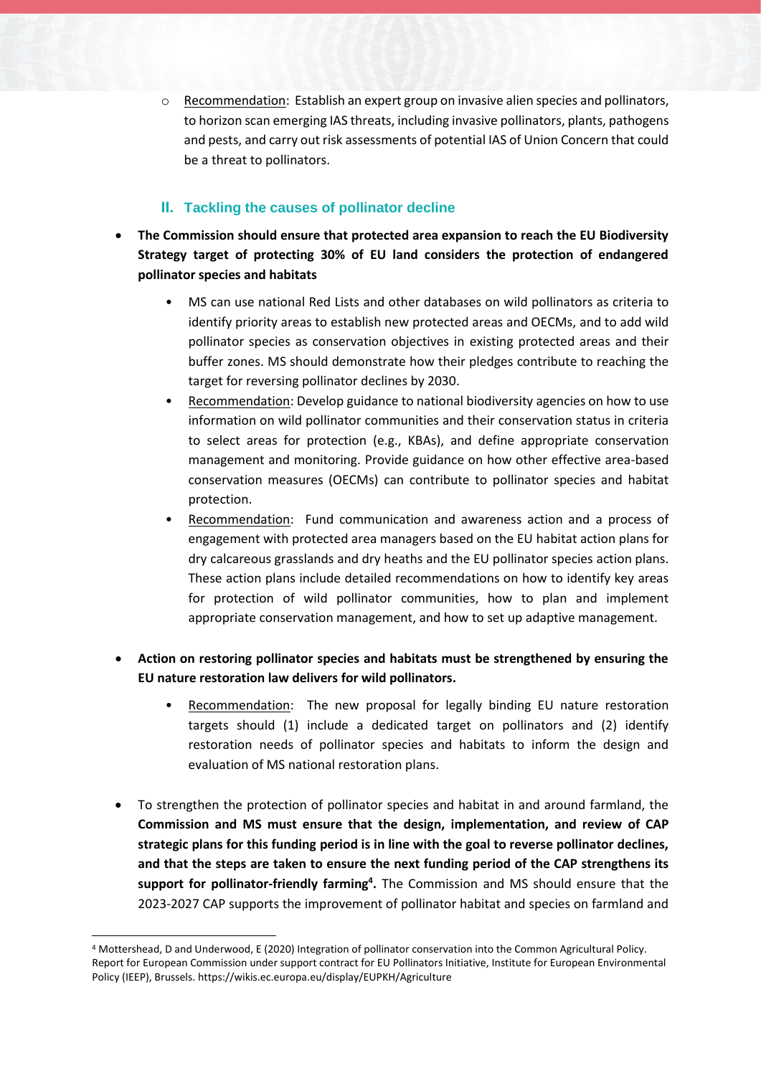o Recommendation: Establish an expert group on invasive alien species and pollinators, to horizon scan emerging IAS threats, including invasive pollinators, plants, pathogens and pests, and carry out risk assessments of potential IAS of Union Concern that could be a threat to pollinators.

### **II. Tackling the causes of pollinator decline**

- **The Commission should ensure that protected area expansion to reach the EU Biodiversity Strategy target of protecting 30% of EU land considers the protection of endangered pollinator species and habitats**
	- MS can use national Red Lists and other databases on wild pollinators as criteria to identify priority areas to establish new protected areas and OECMs, and to add wild pollinator species as conservation objectives in existing protected areas and their buffer zones. MS should demonstrate how their pledges contribute to reaching the target for reversing pollinator declines by 2030.
	- Recommendation: Develop guidance to national biodiversity agencies on how to use information on wild pollinator communities and their conservation status in criteria to select areas for protection (e.g., KBAs), and define appropriate conservation management and monitoring. Provide guidance on how other effective area-based conservation measures (OECMs) can contribute to pollinator species and habitat protection.
	- Recommendation: Fund communication and awareness action and a process of engagement with protected area managers based on the EU habitat action plans for dry calcareous grasslands and dry heaths and the EU pollinator species action plans. These action plans include detailed recommendations on how to identify key areas for protection of wild pollinator communities, how to plan and implement appropriate conservation management, and how to set up adaptive management.
- **Action on restoring pollinator species and habitats must be strengthened by ensuring the EU nature restoration law delivers for wild pollinators.** 
	- Recommendation: The new proposal for legally binding EU nature restoration targets should (1) include a dedicated target on pollinators and (2) identify restoration needs of pollinator species and habitats to inform the design and evaluation of MS national restoration plans.
- To strengthen the protection of pollinator species and habitat in and around farmland, the **Commission and MS must ensure that the design, implementation, and review of CAP strategic plans for this funding period is in line with the goal to reverse pollinator declines, and that the steps are taken to ensure the next funding period of the CAP strengthens its support for pollinator-friendly farming<sup>4</sup> .** The Commission and MS should ensure that the 2023-2027 CAP supports the improvement of pollinator habitat and species on farmland and

<sup>4</sup> Mottershead, D and Underwood, E (2020) Integration of pollinator conservation into the Common Agricultural Policy. Report for European Commission under support contract for EU Pollinators Initiative, Institute for European Environmental Policy (IEEP), Brussels. https://wikis.ec.europa.eu/display/EUPKH/Agriculture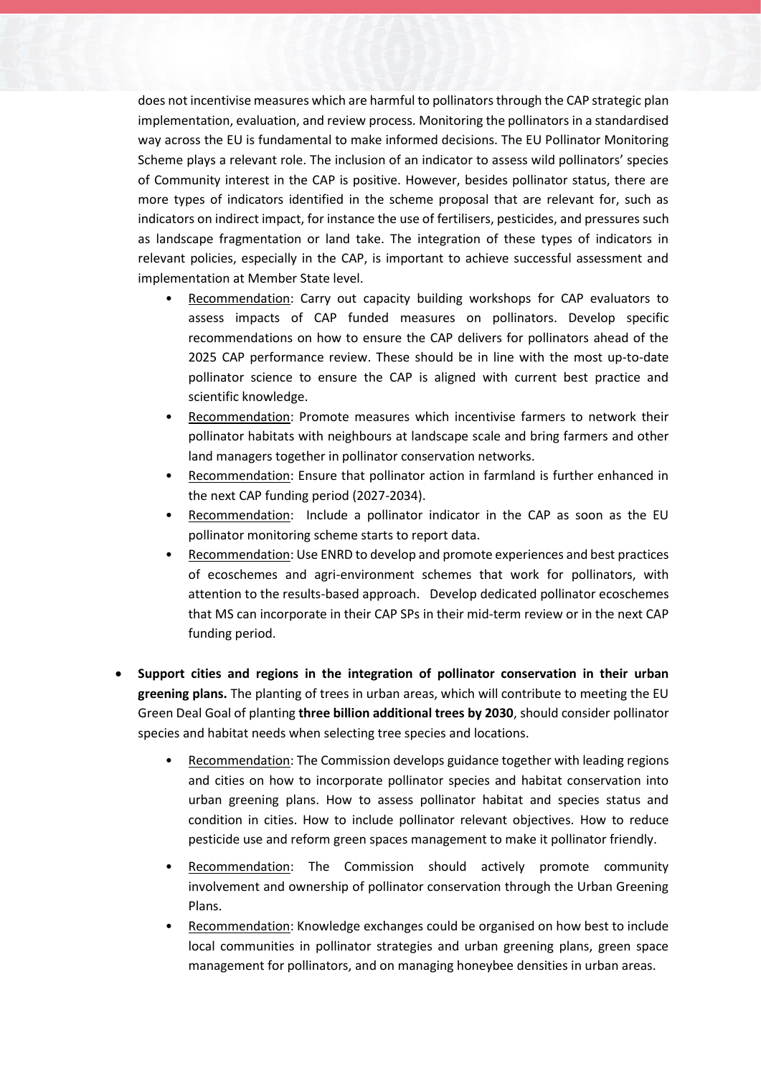does not incentivise measures which are harmful to pollinators through the CAP strategic plan implementation, evaluation, and review process. Monitoring the pollinators in a standardised way across the EU is fundamental to make informed decisions. The EU Pollinator Monitoring Scheme plays a relevant role. The inclusion of an indicator to assess wild pollinators' species of Community interest in the CAP is positive. However, besides pollinator status, there are more types of indicators identified in the scheme proposal that are relevant for, such as indicators on indirect impact, for instance the use of fertilisers, pesticides, and pressures such as landscape fragmentation or land take. The integration of these types of indicators in relevant policies, especially in the CAP, is important to achieve successful assessment and implementation at Member State level.

- Recommendation: Carry out capacity building workshops for CAP evaluators to assess impacts of CAP funded measures on pollinators. Develop specific recommendations on how to ensure the CAP delivers for pollinators ahead of the 2025 CAP performance review. These should be in line with the most up-to-date pollinator science to ensure the CAP is aligned with current best practice and scientific knowledge.
- Recommendation: Promote measures which incentivise farmers to network their pollinator habitats with neighbours at landscape scale and bring farmers and other land managers together in pollinator conservation networks.
- Recommendation: Ensure that pollinator action in farmland is further enhanced in the next CAP funding period (2027-2034).
- Recommendation: Include a pollinator indicator in the CAP as soon as the EU pollinator monitoring scheme starts to report data.
- Recommendation: Use ENRD to develop and promote experiences and best practices of ecoschemes and agri-environment schemes that work for pollinators, with attention to the results-based approach. Develop dedicated pollinator ecoschemes that MS can incorporate in their CAP SPs in their mid-term review or in the next CAP funding period.
- **Support cities and regions in the integration of pollinator conservation in their urban greening plans.** The planting of trees in urban areas, which will contribute to meeting the EU Green Deal Goal of planting **three billion additional trees by 2030**, should consider pollinator species and habitat needs when selecting tree species and locations.
	- Recommendation: The Commission develops guidance together with leading regions and cities on how to incorporate pollinator species and habitat conservation into urban greening plans. How to assess pollinator habitat and species status and condition in cities. How to include pollinator relevant objectives. How to reduce pesticide use and reform green spaces management to make it pollinator friendly.
	- Recommendation: The Commission should actively promote community involvement and ownership of pollinator conservation through the Urban Greening Plans.
	- Recommendation: Knowledge exchanges could be organised on how best to include local communities in pollinator strategies and urban greening plans, green space management for pollinators, and on managing honeybee densities in urban areas.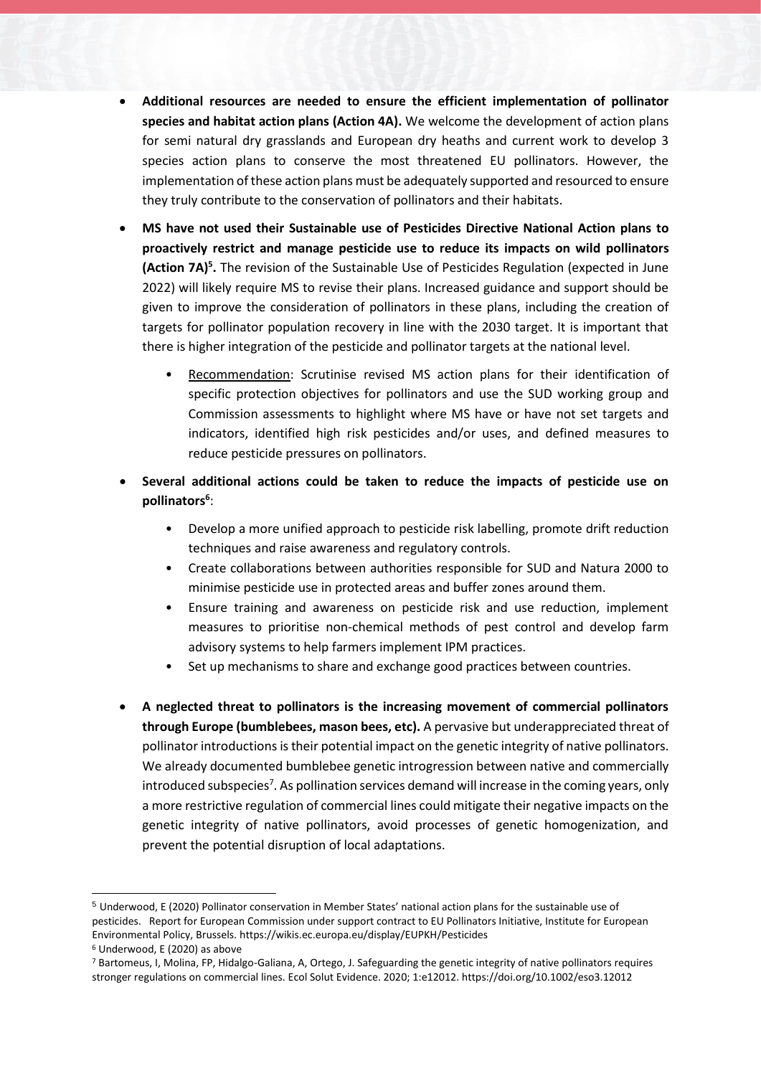- **Additional resources are needed to ensure the efficient implementation of pollinator species and habitat action plans (Action 4A).** We welcome the development of action plans for semi natural dry grasslands and European dry heaths and current work to develop 3 species action plans to conserve the most threatened EU pollinators. However, the implementation of these action plans must be adequately supported and resourced to ensure they truly contribute to the conservation of pollinators and their habitats.
- **MS have not used their Sustainable use of Pesticides Directive National Action plans to proactively restrict and manage pesticide use to reduce its impacts on wild pollinators (Action 7A)<sup>5</sup> .** The revision of the Sustainable Use of Pesticides Regulation (expected in June 2022) will likely require MS to revise their plans. Increased guidance and support should be given to improve the consideration of pollinators in these plans, including the creation of targets for pollinator population recovery in line with the 2030 target. It is important that there is higher integration of the pesticide and pollinator targets at the national level.
	- Recommendation: Scrutinise revised MS action plans for their identification of specific protection objectives for pollinators and use the SUD working group and Commission assessments to highlight where MS have or have not set targets and indicators, identified high risk pesticides and/or uses, and defined measures to reduce pesticide pressures on pollinators.
- **Several additional actions could be taken to reduce the impacts of pesticide use on pollinators<sup>6</sup>** :
	- Develop a more unified approach to pesticide risk labelling, promote drift reduction techniques and raise awareness and regulatory controls.
	- Create collaborations between authorities responsible for SUD and Natura 2000 to minimise pesticide use in protected areas and buffer zones around them.
	- Ensure training and awareness on pesticide risk and use reduction, implement measures to prioritise non-chemical methods of pest control and develop farm advisory systems to help farmers implement IPM practices.
	- Set up mechanisms to share and exchange good practices between countries.
- **A neglected threat to pollinators is the increasing movement of commercial pollinators through Europe (bumblebees, mason bees, etc).** A pervasive but underappreciated threat of pollinator introductions is their potential impact on the genetic integrity of native pollinators. We already documented bumblebee genetic introgression between native and commercially introduced subspecies<sup>7</sup>. As pollination services demand will increase in the coming years, only a more restrictive regulation of commercial lines could mitigate their negative impacts on the genetic integrity of native pollinators, avoid processes of genetic homogenization, and prevent the potential disruption of local adaptations.

<sup>5</sup> Underwood, E (2020) Pollinator conservation in Member States' national action plans for the sustainable use of pesticides. Report for European Commission under support contract to EU Pollinators Initiative, Institute for European Environmental Policy, Brussels. https://wikis.ec.europa.eu/display/EUPKH/Pesticides

<sup>6</sup> Underwood, E (2020) as above

<sup>7</sup> Bartomeus, I, Molina, FP, Hidalgo-Galiana, A, Ortego, J. Safeguarding the genetic integrity of native pollinators requires stronger regulations on commercial lines. Ecol Solut Evidence. 2020; 1:e12012. https://doi.org/10.1002/eso3.12012